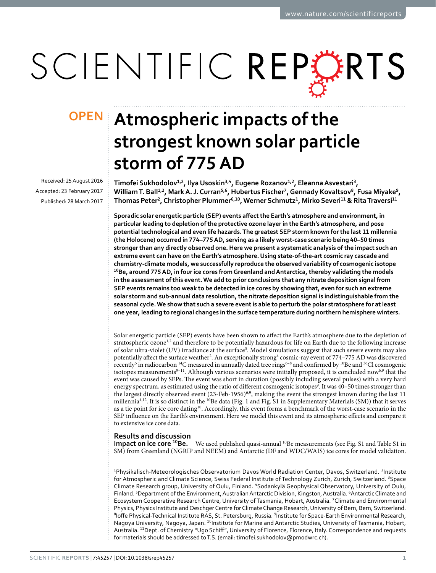# SCIENTIFIC REPERTS

Received: 25 August 2016 accepted: 23 February 2017 Published: 28 March 2017

## **Atmospheric impacts of the OPENstrongest known solar particle storm of 775 AD**

**Timofei Sukhodolov<sup>1</sup>,<sup>2</sup>, Ilya Usoskin<sup>3</sup>,<sup>4</sup>, Eugene Rozanov<sup>1</sup>,<sup>2</sup>, EleannaAsvestari<sup>3</sup>,**  William T. Ball<sup>1,2</sup>, Mark A. J. Curran<sup>5,6</sup>, Hubertus Fischer<sup>7</sup>, Gennady Kovaltsov<sup>8</sup>, Fusa Miyake<sup>9</sup>, **Thomas Peter<sup>2</sup>, Christopher Plummer<sup>6</sup>,<sup>10</sup>, Werner Schmutz<sup>1</sup>, Mirko Severi<sup>11</sup> & RitaTraversi<sup>11</sup>**

**Sporadic solar energetic particle (SEP) events affect the Earth's atmosphere and environment, in particular leading to depletion of the protective ozone layer in the Earth's atmosphere, and pose potential technological and even life hazards. The greatest SEP storm known for the last 11 millennia (the Holocene) occurred in 774–775 AD, serving as a likely worst-case scenario being 40–50 times stronger than any directly observed one. Here we present a systematic analysis of the impact such an extreme event can have on the Earth's atmosphere. Using state-of-the-art cosmic ray cascade and chemistry-climate models, we successfully reproduce the observed variability of cosmogenic isotope 10Be, around 775 AD, in four ice cores from Greenland and Antarctica, thereby validating the models in the assessment of this event. We add to prior conclusions that any nitrate deposition signal from SEP events remains too weak to be detected in ice cores by showing that, even for such an extreme solar storm and sub-annual data resolution, the nitrate deposition signal is indistinguishable from the seasonal cycle. We show that such a severe event is able to perturb the polar stratosphere for at least one year, leading to regional changes in the surface temperature during northern hemisphere winters.**

Solar energetic particle (SEP) events have been shown to affect the Earth's atmosphere due to the depletion of stratospheric ozone<sup>1[,2](#page-7-1)</sup> and therefore to be potentially hazardous for life on Earth due to the following increase of solar ultra-violet (UV) irradiance at the surface<sup>[3](#page-7-2)</sup>. Model simulations suggest that such severe events may also potentially affect the surface weather<sup>2</sup>. An exceptionally strong<sup>[4](#page-7-3)</sup> cosmic-ray event of 774-775 AD was discovered recently<sup>5</sup> in radiocarbon <sup>14</sup>C measured in annually dated tree rings<sup>6–8</sup> and confirmed by <sup>10</sup>Be and <sup>36</sup>Cl cosmogenic isotopes measurements<sup>[9–11](#page-7-6)</sup>. Although various scenarios were initially proposed, it is concluded now<sup>6,9</sup> that the event was caused by SEPs. The event was short in duration (possibly including several pulses) with a very hard energy spectrum, as estimated using the ratio of different cosmogenic isotopes<sup>[9](#page-7-6)</sup>. It was 40-50 times stronger than the largest directly observed event (23-Feb-195[6](#page-7-5))<sup>6[,9](#page-7-6)</sup>, making the event the strongest known during the last 11 millennia<sup>4,[12](#page-7-7)</sup>. It is so distinct in the <sup>10</sup>Be data [\(Fig. 1](#page-1-0) and Fig. S1 in Supplementary Materials (SM)) that it serves as a tie point for ice core dating<sup>10</sup>. Accordingly, this event forms a benchmark of the worst-case scenario in the SEP influence on the Earth's environment. Here we model this event and its atmospheric effects and compare it to extensive ice core data.

### **Results and discussion**

**Impact on ice core <sup>10</sup>Be.** We used published quasi-annual <sup>10</sup>Be measurements (see Fig. S1 and Table S1 in SM) from Greenland (NGRIP and NEEM) and Antarctic (DF and WDC/WAIS) ice cores for model validation.

<sup>1</sup>Physikalisch-Meteorologisches Observatorium Davos World Radiation Center, Davos, Switzerland. <sup>2</sup>Institute for Atmospheric and Climate Science, Swiss Federal Institute of Technology Zurich, Zurich, Switzerland. <sup>3</sup>Space Climate Research group, University of Oulu, Finland. <sup>4</sup>Sodankylä Geophysical Observatory, University of Oulu, Finland. <sup>5</sup>Department of the Environment, Australian Antarctic Division, Kingston, Australia. <sup>6</sup>Antarctic Climate and Ecosystem Cooperative Research Centre, University of Tasmania, Hobart, Australia. <sup>7</sup>Climate and Environmental Physics, Physics Institute and Oeschger Centre for Climate Change Research, University of Bern, Bern, Switzerland. <sup>8</sup>loffe Physical-Technical Institute RAS, St. Petersburg, Russia. <sup>9</sup>Institute for Space-Earth Environmental Research, Nagoya University, Nagoya, Japan. <sup>10</sup>Institute for Marine and Antarctic Studies, University of Tasmania, Hobart, Australia. 11Dept. of Chemistry "Ugo Schiff", University of Florence, Florence, Italy. Correspondence and requests for materials should be addressed to T.S. (email: [timofei.sukhodolov@pmodwrc.ch](mailto:timofei.sukhodolov@pmodwrc.ch)).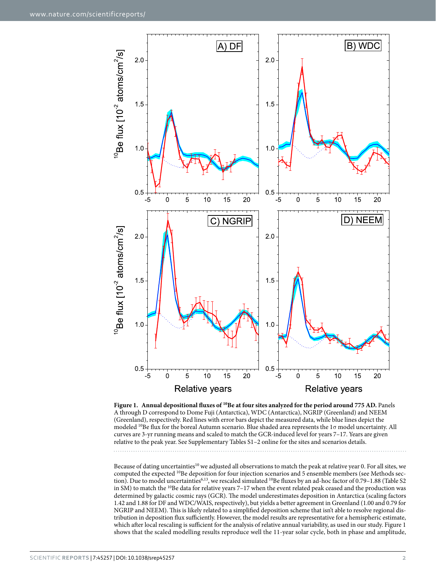

<span id="page-1-0"></span>Figure 1. Annual depositional fluxes of <sup>10</sup>Be at four sites analyzed for the period around 775 AD. Panels A through D correspond to Dome Fuji (Antarctica), WDC (Antarctica), NGRIP (Greenland) and NEEM (Greenland), respectively. Red lines with error bars depict the measured data, while blue lines depict the modeled <sup>10</sup>Be flux for the boreal Autumn scenario. Blue shaded area represents the 1σ model uncertainty. All curves are 3-yr running means and scaled to match the GCR-induced level for years 7–17. Years are given relative to the peak year. See Supplementary Tables S1–2 online for the sites and scenarios details.

Because of dating uncertainties<sup>10</sup> we adjusted all observations to match the peak at relative year 0. For all sites, we computed the expected <sup>10</sup>Be deposition for four injection scenarios and 5 ensemble members (see Methods sec-tion). Due to model uncertainties<sup>6,[13](#page-7-9)</sup>, we rescaled simulated <sup>10</sup>Be fluxes by an ad-hoc factor of 0.79-1.88 (Table S2 in SM) to match the <sup>10</sup>Be data for relative years 7-17 when the event related peak ceased and the production was determined by galactic cosmic rays (GCR). The model underestimates deposition in Antarctica (scaling factors 1.42 and 1.88 for DF and WDC/WAIS, respectively), but yields a better agreement in Greenland (1.00 and 0.79 for NGRIP and NEEM). This is likely related to a simplified deposition scheme that isn't able to resolve regional distribution in deposition flux sufficiently. However, the model results are representative for a hemispheric estimate, which after local rescaling is sufficient for the analysis of relative annual variability, as used in our study. [Figure 1](#page-1-0)  shows that the scaled modelling results reproduce well the 11-year solar cycle, both in phase and amplitude,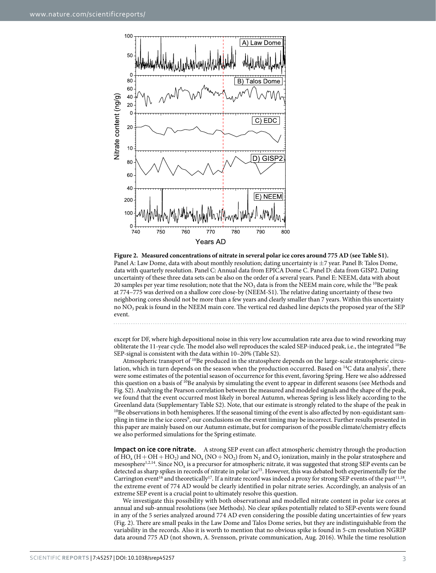

<span id="page-2-0"></span>**Figure 2. Measured concentrations of nitrate in several polar ice cores around 775 AD (see Table S1).**  Panel A: Law Dome, data with about monthly resolution; dating uncertainty is  $\pm$ 7 year. Panel B: Talos Dome, data with quarterly resolution. Panel C: Annual data from EPICA Dome C. Panel D: data from GISP2. Dating uncertainty of these three data sets can be also on the order of a several years. Panel E: NEEM, data with about 20 samples per year time resolution; note that the  $NO<sub>3</sub>$  data is from the NEEM main core, while the <sup>10</sup>Be peak at 774–775 was derived on a shallow core close-by (NEEM-S1). The relative dating uncertainty of these two neighboring cores should not be more than a few years and clearly smaller than 7 years. Within this uncertainty no NO3 peak is found in the NEEM main core. The vertical red dashed line depicts the proposed year of the SEP event.

except for DF, where high depositional noise in this very low accumulation rate area due to wind reworking may obliterate the 11-year cycle. The model also well reproduces the scaled SEP-induced peak, i.e., the integrated <sup>10</sup>Be SEP-signal is consistent with the data within 10–20% (Table S2).

Atmospheric transport of <sup>10</sup>Be produced in the stratosphere depends on the large-scale stratospheric circulation, which in turn depends on the season when the production occurred. Based on  $^{14}C$  data analysis $^7$  $^7$ , there were some estimates of the potential season of occurrence for this event, favoring Spring. Here we also addressed this question on a basis of <sup>10</sup>Be analysis by simulating the event to appear in different seasons (see Methods and Fig. S2). Analyzing the Pearson correlation between the measured and modeled signals and the shape of the peak, we found that the event occurred most likely in boreal Autumn, whereas Spring is less likely according to the Greenland data (Supplementary Table S2). Note, that our estimate is strongly related to the shape of the peak in <sup>10</sup>Be observations in both hemispheres. If the seasonal timing of the event is also affected by non-equidistant sam-pling in time in the ice cores<sup>[9](#page-7-6)</sup>, our conclusions on the event timing may be incorrect. Further results presented in this paper are mainly based on our Autumn estimate, but for comparison of the possible climate/chemistry effects we also performed simulations for the Spring estimate.

**Impact on ice core nitrate.** A strong SEP event can affect atmospheric chemistry through the production of  $HO_x (H+OH+HO_2)$  and  $NO_x (NO+NO_2)$  from  $N_2$  and  $O_2$  ionization, mainly in the polar stratosphere and mesosphere<sup>1[,2](#page-7-1),[14](#page-7-11)</sup>. Since NO<sub>x</sub> is a precursor for atmospheric nitrate, it was suggested that strong SEP events can be detected as sharp spikes in records of nitrate in polar ice<sup>[15](#page-7-12)</sup>. However, this was debated both experimentally for the Carrington event<sup>16</sup> and theoretically<sup>17</sup>. If a nitrate record was indeed a proxy for strong SEP events of the past<sup>11,18</sup>, the extreme event of 774 AD would be clearly identified in polar nitrate series. Accordingly, an analysis of an extreme SEP event is a crucial point to ultimately resolve this question.

We investigate this possibility with both observational and modelled nitrate content in polar ice cores at annual and sub-annual resolutions (see Methods). No clear spikes potentially related to SEP-events were found in any of the 5 series analyzed around 774 AD even considering the possible dating uncertainties of few years ([Fig. 2\)](#page-2-0). There are small peaks in the Law Dome and Talos Dome series, but they are indistinguishable from the variability in the records. Also it is worth to mention that no obvious spike is found in 5-cm resolution NGRIP data around 775 AD (not shown, A. Svensson, private communication, Aug. 2016). While the time resolution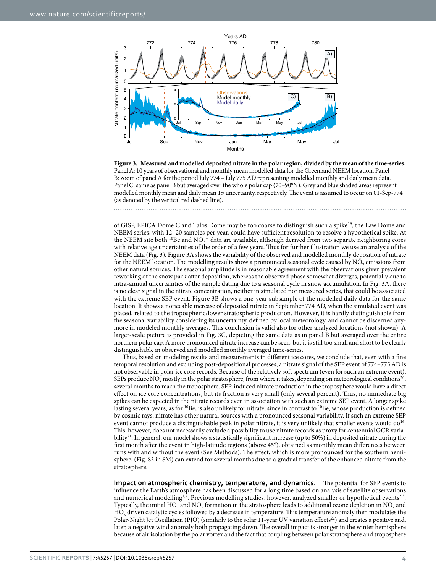

<span id="page-3-0"></span>**Figure 3. Measured and modelled deposited nitrate in the polar region, divided by the mean of the time-series.**  Panel A: 10 years of observational and monthly mean modelled data for the Greenland NEEM location. Panel B: zoom of panel A for the period July 774 – July 775 AD representing modelled monthly and daily mean data. Panel C: same as panel B but averaged over the whole polar cap (70–90°N). Grey and blue shaded areas represent modelled monthly mean and daily mean 1σ uncertainty, respectively. The event is assumed to occur on 01-Sep-774 (as denoted by the vertical red dashed line).

of GISP, EPICA Dome C and Talos Dome may be too coarse to distinguish such a spike[19,](#page-7-17) the Law Dome and NEEM series, with 12–20 samples per year, could have sufficient resolution to resolve a hypothetical spike. At the NEEM site both  $^{10}$ Be and NO<sub>3</sub><sup>−</sup> data are available, although derived from two separate neighboring cores with relative age uncertainties of the order of a few years. Thus for further illustration we use an analysis of the NEEM data ([Fig. 3](#page-3-0)). [Figure 3A](#page-3-0) shows the variability of the observed and modelled monthly deposition of nitrate for the NEEM location. The modelling results show a pronounced seasonal cycle caused by NO<sub>x</sub> emissions from other natural sources. The seasonal amplitude is in reasonable agreement with the observations given prevalent reworking of the snow pack after deposition, whereas the observed phase somewhat diverges, potentially due to intra-annual uncertainties of the sample dating due to a seasonal cycle in snow accumulation. In [Fig. 3A,](#page-3-0) there is no clear signal in the nitrate concentration, neither in simulated nor measured series, that could be associated with the extreme SEP event. [Figure 3B](#page-3-0) shows a one-year subsample of the modelled daily data for the same location. It shows a noticeable increase of deposited nitrate in September 774 AD, when the simulated event was placed, related to the tropospheric/lower stratospheric production. However, it is hardly distinguishable from the seasonal variability considering its uncertainty, defined by local meteorology, and cannot be discerned anymore in modeled monthly averages. This conclusion is valid also for other analyzed locations (not shown). A larger-scale picture is provided in [Fig. 3C](#page-3-0), depicting the same data as in panel B but averaged over the entire northern polar cap. A more pronounced nitrate increase can be seen, but it is still too small and short to be clearly distinguishable in observed and modelled monthly averaged time-series.

Thus, based on modeling results and measurements in different ice cores, we conclude that, even with a fine temporal resolution and excluding post-depositional processes, a nitrate signal of the SEP event of 774–775 AD is not observable in polar ice core records. Because of the relatively soft spectrum (even for such an extreme event), SEPs produce  $NO_x$  mostly in the polar stratosphere, from where it takes, depending on meteorological conditions<sup>20</sup>, several months to reach the troposphere. SEP-induced nitrate production in the troposphere would have a direct effect on ice core concentrations, but its fraction is very small (only several percent). Thus, no immediate big spikes can be expected in the nitrate records even in association with such an extreme SEP event. A longer spike lasting several years, as for  $^{10}Be$ , is also unlikely for nitrate, since in contrast to  $^{10}Be$ , whose production is defined by cosmic rays, nitrate has other natural sources with a pronounced seasonal variability. If such an extreme SEP event cannot produce a distinguishable peak in polar nitrate, it is very unlikely that smaller events would do<sup>16</sup>. This, however, does not necessarily exclude a possibility to use nitrate records as proxy for centennial GCR variability<sup>21</sup>. In general, our model shows a statistically significant increase (up to 50%) in deposited nitrate during the first month after the event in high-latitude regions (above 45°), obtained as monthly mean differences between runs with and without the event (See Methods). The effect, which is more pronounced for the southern hemisphere, (Fig. S3 in SM) can extend for several months due to a gradual transfer of the enhanced nitrate from the stratosphere.

**Impact on atmospheric chemistry, temperature, and dynamics.** The potential for SEP events to influence the Earth's atmosphere has been discussed for a long time based on analysis of satellite observations and numerical modelling<sup>[1](#page-7-0)[,2](#page-7-1)</sup>. Previous modelling studies, however, analyzed smaller or hypothetical events<sup>2,3</sup>. Typically, the initial  $HO_x$  and  $NO_x$  formation in the stratosphere leads to additional ozone depletion in  $NO_x$  and  $HO_x$  driven catalytic cycles followed by a decrease in temperature. This temperature anomaly then modulates the Polar-Night Jet Oscillation (PJO) (similarly to the solar 11-year UV variation effects<sup>[22](#page-7-20)</sup>) and creates a positive and, later, a negative wind anomaly both propagating down. The overall impact is stronger in the winter hemisphere because of air isolation by the polar vortex and the fact that coupling between polar stratosphere and troposphere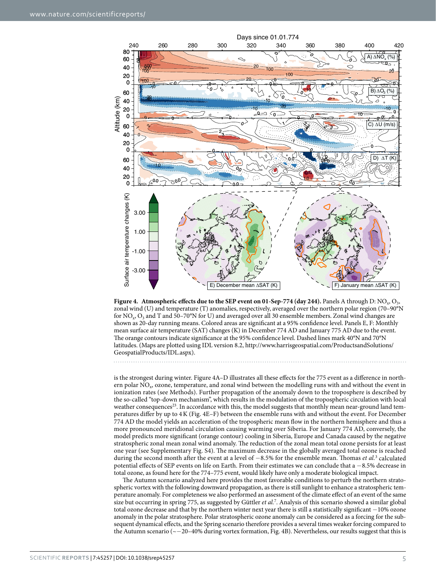

<span id="page-4-0"></span>

is the strongest during winter. [Figure 4A–D](#page-4-0) illustrates all these effects for the 775 event as a difference in northern polar NO<sub>y</sub>, ozone, temperature, and zonal wind between the modelling runs with and without the event in ionization rates (see Methods). Further propagation of the anomaly down to the troposphere is described by the so-called "top-down mechanism", which results in the modulation of the tropospheric circulation with local weather consequences<sup>23</sup>. In accordance with this, the model suggests that monthly mean near-ground land temperatures differ by up to 4K [\(Fig. 4E–F\)](#page-4-0) between the ensemble runs with and without the event. For December 774 AD the model yields an acceleration of the tropospheric mean flow in the northern hemisphere and thus a more pronounced meridional circulation causing warming over Siberia. For January 774 AD, conversely, the model predicts more significant (orange contour) cooling in Siberia, Europe and Canada caused by the negative stratospheric zonal mean zonal wind anomaly. The reduction of the zonal mean total ozone persists for at least one year (see Supplementary Fig. S4). The maximum decrease in the globally averaged total ozone is reached during the second month after the event at a level of −8.5% for the ensemble mean. Thomas *et al.*[3](#page-7-2) calculated potential effects of SEP events on life on Earth. From their estimates we can conclude that a −8.5% decrease in total ozone, as found here for the 774–775 event, would likely have only a moderate biological impact.

The Autumn scenario analyzed here provides the most favorable conditions to perturb the northern stratospheric vortex with the following downward propagation, as there is still sunlight to enhance a stratospheric temperature anomaly. For completeness we also performed an assessment of the climate effect of an event of the same size but occurring in spring 775, as suggested by Güttler *et al.*[7](#page-7-10) . Analysis of this scenario showed a similar global total ozone decrease and that by the northern winter next year there is still a statistically significant −10% ozone anomaly in the polar stratosphere. Polar stratospheric ozone anomaly can be considered as a forcing for the subsequent dynamical effects, and the Spring scenario therefore provides a several times weaker forcing compared to the Autumn scenario ( $\sim$  -20-40% during vortex formation, Fig. 4B). Nevertheless, our results suggest that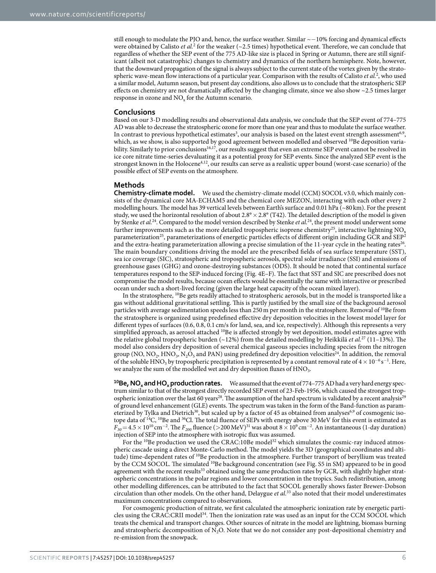still enough to modulate the PJO and, hence, the surface weather. Similar ~−10% forcing and dynamical effects were obtained by Calisto *et al.*<sup>[2](#page-7-1)</sup> for the weaker ( $\sim$ 2.5 times) hypothetical event. Therefore, we can conclude that regardless of whether the SEP event of the 775 AD-like size is placed in Spring or Autumn, there are still significant (albeit not catastrophic) changes to chemistry and dynamics of the northern hemisphere. Note, however, that the downward propagation of the signal is always subject to the current state of the vortex given by the strato-spheric wave-mean flow interactions of a particular year. Comparison with the results of Calisto et al.<sup>[2](#page-7-1)</sup>, who used a similar model, Autumn season, but present day conditions, also allows us to conclude that the stratospheric SEP effects on chemistry are not dramatically affected by the changing climate, since we also show ~2.5 times larger response in ozone and  $NO<sub>x</sub>$  for the Autumn scenario.

#### **Conclusions**

Based on our 3-D modelling results and observational data analysis, we conclude that the SEP event of 774–775 AD was able to decrease the stratospheric ozone for more than one year and thus to modulate the surface weather. In contrast to previous hypothetical estimates<sup>[3](#page-7-2)</sup>, our analysis is based on the latest event strength assessment<sup>[6](#page-7-5),9</sup>, which, as we show, is also supported by good agreement between modelled and observed <sup>10</sup>Be deposition variability. Similarly to prior conclusions<sup>16,17</sup>, our results suggest that even an extreme SEP event cannot be resolved in ice core nitrate time-series devaluating it as a potential proxy for SEP events. Since the analyzed SEP event is the strongest known in the Holocene<sup>[4,](#page-7-3)12</sup>, our results can serve as a realistic upper bound (worst-case scenario) of the possible effect of SEP events on the atmosphere.

#### **Methods**

**Chemistry-climate model.** We used the chemistry-climate model (CCM) SOCOL v3.0, which mainly consists of the dynamical core MA-ECHAM5 and the chemical core MEZON, interacting with each other every 2 modelling hours. The model has 39 vertical levels between Earth's surface and 0.01 hPa (~80 km). For the present study, we used the horizontal resolution of about  $2.8^\circ \times 2.8^\circ$  (T42). The detailed description of the model is given by Stenke *et al.*[24.](#page-7-22) Compared to the model version described by Stenke *et al.*[24,](#page-7-22) the present model underwent some further improvements such as the more detailed tropospheric isoprene chemistry<sup>25</sup>, interactive lightning NO<sub>x</sub> parameterization<sup>[2](#page-7-1)5</sup>, parameterizations of energetic particles effects of different origin including GCR and SEP<sup>2</sup> and the extra-heating parameterization allowing a precise simulation of the 11-year cycle in the heating rates<sup>26</sup>. The main boundary conditions driving the model are the prescribed fields of sea surface temperature (SST), sea ice coverage (SIC), stratospheric and tropospheric aerosols, spectral solar irradiance (SSI) and emissions of greenhouse gases (GHG) and ozone-destroying substances (ODS). It should be noted that continental surface temperatures respond to the SEP-induced forcing [\(Fig. 4E–F](#page-4-0)). The fact that SST and SIC are prescribed does not compromise the model results, because ocean effects would be essentially the same with interactive or prescribed ocean under such a short-lived forcing (given the large heat capacity of the ocean mixed layer).

In the stratosphere, <sup>10</sup>Be gets readily attached to stratospheric aerosols, but in the model is transported like a gas without additional gravitational settling. This is partly justified by the small size of the background aerosol particles with average sedimentation speeds less than 250 m per month in the stratosphere. Removal of <sup>10</sup>Be from the stratosphere is organized using predefined effective dry deposition velocities in the lowest model layer for different types of surfaces (0.6, 0.8, 0.1 cm/s for land, sea, and ice, respectively). Although this represents a very simplified approach, as aerosol attached <sup>10</sup>Be is affected strongly by wet deposition, model estimates agree with the relative global tropospheric burden (~12%) from the detailed modelling by Heikkilä *et al.*[27](#page-7-25) (11–13%). The model also considers dry deposition of several chemical gaseous species including species from the nitrogen group (NO, NO<sub>2</sub>, HNO<sub>3</sub>, N<sub>2</sub>O<sub>5</sub> and PAN) using predefined dry deposition velocities<sup>24</sup>. In addition, the removal of the soluble HNO<sub>3</sub> by tropospheric precipitation is represented by a constant removal rate of  $4\times10^{-6}$  s<sup>-1</sup>. Here, we analyze the sum of the modelled wet and dry deposition fluxes of HNO<sub>3</sub>.

**<sup>10</sup>Be, NO<sub>x</sub> and HO<sub>x</sub> production rates.** We assumed that the event of 774–775 AD had a very hard energy spectrum similar to that of the strongest directly recorded SEP event of 23-Feb-1956, which caused the strongest trop-ospheric ionization over the last 60 years<sup>[28](#page-7-26)</sup>. The assumption of the hard spectrum is validated by a recent analysis<sup>29</sup> of ground level enhancement (GLE) events. The spectrum was taken in the form of the Band-function as param-eterized by Tylka and Dietrich<sup>30</sup>, but scaled up by a factor of 45 as obtained from analyses<sup>[6](#page-7-5),9</sup> of cosmogenic isotope data of <sup>14</sup>C, <sup>10</sup>Be and <sup>36</sup>Cl. The total fluence of SEPs with energy above 30 MeV for this event is estimated as  $F_{30}$  = 4.5 × 10<sup>10</sup> cm<sup>-2</sup>. The  $F_{200}$  fluence (>200 MeV)<sup>31</sup> was about 8 × 10<sup>9</sup> cm<sup>-2</sup>. An instantaneous (1-day duration) injection of SEP into the atmosphere with isotropic flux was assumed.

For the <sup>10</sup>Be production we used the CRAC:10Be model<sup>32</sup> which simulates the cosmic-ray induced atmospheric cascade using a direct Monte-Carlo method. The model yields the 3D (geographical coordinates and altitude) time-dependent rates of 10Be production in the atmosphere. Further transport of beryllium was treated by the CCM SOCOL. The simulated <sup>10</sup>Be background concentration (see Fig. S5 in SM) appeared to be in good agreement with the recent results<sup>33</sup> obtained using the same production rates by GCR, with slightly higher stratospheric concentrations in the polar regions and lower concentration in the tropics. Such redistribution, among other modelling differences, can be attributed to the fact that SOCOL generally shows faster Brewer-Dobson circulation than other models. On the other hand, Delaygue *et al.*[33](#page-7-31) also noted that their model underestimates maximum concentrations compared to observations.

For cosmogenic production of nitrate, we first calculated the atmospheric ionization rate by energetic particles using the CRAC:CRII model<sup>34</sup>. Then the ionization rate was used as an input for the CCM SOCOL which treats the chemical and transport changes. Other sources of nitrate in the model are lightning, biomass burning and stratospheric decomposition of  $N_2O$ . Note that we do not consider any post-depositional chemistry and re-emission from the snowpack.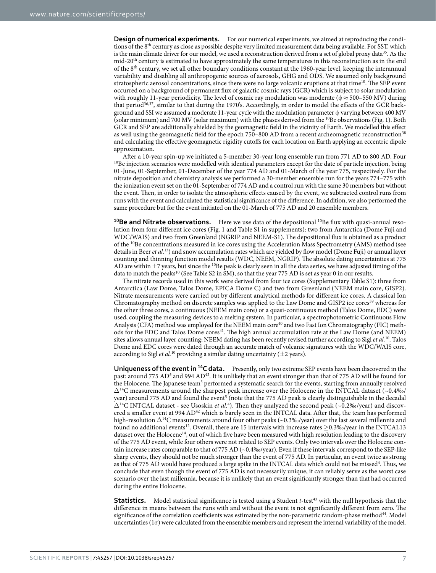**Design of numerical experiments.** For our numerical experiments, we aimed at reproducing the conditions of the 8<sup>th</sup> century as close as possible despite very limited measurement data being available. For SST, which is the main climate driver for our model, we used a reconstruction derived from a set of global proxy data<sup>35</sup>. As the mid-20<sup>th</sup> century is estimated to have approximately the same temperatures in this reconstruction as in the end of the 8th century, we set all other boundary conditions constant at the 1960-year level, keeping the interannual variability and disabling all anthropogenic sources of aerosols, GHG and ODS. We assumed only background stratospheric aerosol concentrations, since there were no large volcanic eruptions at that time<sup>10</sup>. The SEP event occurred on a background of permanent flux of galactic cosmic rays (GCR) which is subject to solar modulation with roughly 11-year periodicity. The level of cosmic ray modulation was moderate ( $\phi \approx 500$ –550 MV) during that period<sup>[36](#page-7-34),37</sup>, similar to that during the 1970's. Accordingly, in order to model the effects of the GCR background and SSI we assumed a moderate 11-year cycle with the modulation parameter φ varying between 400 MV (solar minimum) and 700 MV (solar maximum) with the phases derived from the <sup>10</sup>Be observations [\(Fig. 1](#page-1-0)). Both GCR and SEP are additionally shielded by the geomagnetic field in the vicinity of Earth. We modelled this effect as well using the geomagnetic field for the epoch 750–800 AD from a recent archeomagnetic reconstruction<sup>[38](#page-7-36)</sup> and calculating the effective geomagnetic rigidity cutoffs for each location on Earth applying an eccentric dipole approximation.<br>After a 10-year spin-up we initiated a 5-member 30-year long ensemble run from 771 AD to 800 AD. Four

<sup>10</sup>Be injection scenarios were modelled with identical parameters except for the date of particle injection, being 01-June, 01-September, 01-December of the year 774 AD and 01-March of the year 775, respectively. For the nitrate deposition and chemistry analysis we performed a 30-member ensemble run for the years 774–775 with the ionization event set on the 01-September of 774 AD and a control run with the same 30 members but without the event. Then, in order to isolate the atmospheric effects caused by the event, we subtracted control runs from runs with the event and calculated the statistical significance of the difference. In addition, we also performed the same procedure but for the event initiated on the 01-March of 775 AD and 20 ensemble members.

**<sup>10</sup>Be and Nitrate observations.** Here we use data of the depositional 10Be flux with quasi-annual resolution from four different ice cores ([Fig. 1](#page-1-0) and Table S1 in supplements): two from Antarctica (Dome Fuji and WDC/WAIS) and two from Greenland (NGRIP and NEEM-S1). The depositional flux is obtained as a product of the 10Be concentrations measured in ice cores using the Acceleration Mass Spectrometry (AMS) method (see details in Beer *et al.*[13](#page-7-9)) and snow accumulation rates which are yielded by flow model (Dome Fuji) or annual layer counting and thinning function model results (WDC, NEEM, NGRIP). The absolute dating uncertainties at 775 AD are within  $\pm$ 7 years, but since the <sup>10</sup>Be peak is clearly seen in all the data series, we have adjusted timing of the data to match the peaks<sup>[10](#page-7-8)</sup> (See Table S2 in SM), so that the year 775 AD is set as year 0 in our results.

The nitrate records used in this work were derived from four ice cores (Supplementary Table S1): three from Antarctica (Law Dome, Talos Dome, EPICA Dome C) and two from Greenland (NEEM main core, GISP2). Nitrate measurements were carried out by different analytical methods for different ice cores. A classical Ion Chromatography method on discrete samples was applied to the Law Dome and GISP2 ice cores<sup>39</sup> whereas for the other three cores, a continuous (NEEM main core) or a quasi-continuous method (Talos Dome, EDC) were used, coupling the measuring devices to a melting system. In particular, a spectrophotometric Continuous Flow Analysis (CFA) method was employed for the NEEM main core<sup>40</sup> and two Fast Ion Chromatography (FIC) methods for the EDC and Talos Dome cores<sup>41</sup>. The high annual accumulation rate at the Law Dome (and NEEM) sites allows annual layer counting; NEEM dating has been recently revised further according to Sigl *et al.*[10.](#page-7-8) Talos Dome and EDC cores were dated through an accurate match of volcanic signatures with the WDC/WAIS core, according to Sigl *et al.*<sup>10</sup> providing a similar dating uncertainty ( $\pm$ 2 years).

**Uniqueness of the event in <sup>14</sup>C data.** Presently, only two extreme SEP events have been discovered in the past: around 775 AD<sup>5</sup> and 994 AD<sup>42</sup>. It is unlikely that an event stronger than that of 775 AD will be found for the Holocene. The Japanese team<sup>[5](#page-7-4)</sup> performed a systematic search for the events, starting from annually resolved  $\Delta^{14}$ C measurements around the sharpest peak increase over the Holocene in the INTCAL dataset (~0.4‰/ year) around 775 AD and found the event<sup>5</sup> (note that the 775 AD peak is clearly distinguishable in the decadal Δ14C INTCAL dataset - see Usoskin *et al.*[4](#page-7-3) ). Then they analyzed the second peak (~0.2‰/year) and discovered a smaller event at 994 AD<sup>42</sup> which is barely seen in the INTCAL data. After that, the team has performed high-resolution  $\Delta^{14}$ C measurements around four other peaks (~0.3‰/year) over the last several millennia and found no additional events<sup>12</sup>. Overall, there are 15 intervals with increase rates  $> 0.3\%$ /year in the INTCAL13 dataset over the Holocene<sup>14</sup>, out of which five have been measured with high resolution leading to the discovery of the 775 AD event, while four others were not related to SEP events. Only two intervals over the Holocene contain increase rates comparable to that of 775 AD (~0.4‰/year). Even if these intervals correspond to the SEP-like sharp events, they should not be much stronger than the event of 775 AD. In particular, an event twice as strong as that of 775 AD would have produced a large spike in the INTCAL data which could not be missed<sup>4</sup>. Thus, we conclude that even though the event of 775 AD is not necessarily unique, it can reliably serve as the worst case scenario over the last millennia, because it is unlikely that an event significantly stronger than that had occurred during the entire Holocene.

**Statistics.** Model statistical significance is tested using a Student *t*-test<sup>43</sup> with the null hypothesis that the difference in means between the runs with and without the event is not significantly different from zero. The significance of the correlation coefficients was estimated by the non-parametric random-phase method<sup>[44](#page-7-42)</sup>. Model uncertainties  $(1\sigma)$  were calculated from the ensemble members and represent the internal variability of the model.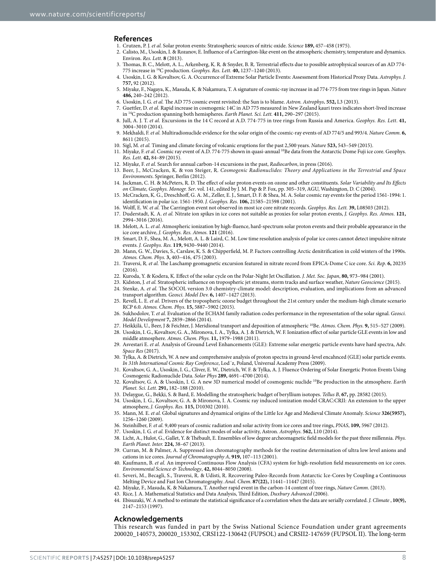#### **References**

- 1. Crutzen, P. J. *et al.* Solar proton events: Stratospheric sources of nitric oxide. *Science* **189,** 457–458 (1975).
- <span id="page-7-1"></span><span id="page-7-0"></span>2. Calisto, M., Usoskin, I. & Rozanov, E. Influence of a Carrington-like event on the atmospheric chemistry, temperature and dynamics. Environ. *Res. Lett*. **8** (2013).
- <span id="page-7-2"></span>3. Thomas, B. C., Melott, A. L., Arkenberg, K. R. & Snyder, B. R. Terrestrial effects due to possible astrophysical sources of an AD 774- 775 increase in 14C production. *Geophys. Res. Lett.* **40,** 1237–1240 (2013).
- <span id="page-7-3"></span>4. Usoskin, I. G. & Kovaltsov, G. A. Occurrence of Extreme Solar Particle Events: Assessment from Historical Proxy Data. *Astrophys. J.* **757,** 92 (2012).
- <span id="page-7-4"></span>5. Miyake, F., Nagaya, K., Masuda, K. & Nakamura, T. A signature of cosmic-ray increase in ad 774-775 from tree rings in Japan. *Nature* **486,** 240–242 (2012).
- <span id="page-7-10"></span><span id="page-7-5"></span>6. Usoskin, I. G. *et al.* The AD 775 cosmic event revisited: the Sun is to blame. *Astron. Astrophys***. 552,** L3 (2013).
- 7. Guettler, D. *et al.* Rapid increase in cosmogenic 14C in AD 775 measured in New Zealand kauri trees indicates short-lived increase in 14C production spanning both hemispheres. *Earth Planet. Sci. Lett.* **411,** 290–297 (2015).
- 8. Jull, A. J. T. *et al.* Excursions in the 14 C record at A.D. 774-775 in tree rings from Russia and America. *Geophys. Res. Lett*. **41,** 3004–3010 (2014).
- <span id="page-7-6"></span>9. Mekhaldi, F. *et al.* Multiradionuclide evidence for the solar origin of the cosmic-ray events of AD 774/5 and 993/4. *Nature Comm.* **6,** 8611 (2015).
- <span id="page-7-8"></span>10. Sigl, M. *et al.* Timing and climate forcing of volcanic eruptions for the past 2,500 years. *Nature* **523,** 543–549 (2015).
- <span id="page-7-15"></span>11. Miyake, F. *et al.* Cosmic ray event of A.D. 774-775 shown in quasi-annual 10Be data from the Antarctic Dome Fuji ice core. Geophys. *Res. Lett*. **42,** 84–89 (2015).
- <span id="page-7-7"></span>12. Miyake, F. *et al.* Search for annual carbon-14 excursions in the past, *Radiocarbon*, in press (2016).
- <span id="page-7-9"></span>13. Beer, J., McCracken, K. & von Steiger, R. *Cosmogenic Radionuclides: Theory and Applications in the Terrestrial and Space Environments*. Springer, Berlin (2012).
- <span id="page-7-11"></span>14. Jackman, C. H. & McPeters, R. D. The effect of solar proton events on ozone and other constituents. *Solar Variability and Its Effects on Climate, Geophys. Monogr. Ser*. vol. 141, edited by J. M. Pap & P. Fox, pp. 305–319, AGU, Washington, D. C (2004).
- <span id="page-7-12"></span>15. McCracken, K. G., Dreschhoff, G. A. M., Zeller, E. J., Smart, D. F. & Shea, M. A. Solar cosmic ray events for the period 1561-1994: 1. identification in polar ice. 1561-1950. *J. Geophys. Res.* **106,** 21585–21598 (2001).
- <span id="page-7-13"></span>16. Wolff, E. W. *et al.* The Carrington event not observed in most ice core nitrate records. *Geophys. Res. Lett.* **39,** L08503 (2012).
- <span id="page-7-14"></span>17. Duderstadt, K. A. *et al.* Nitrate ion spikes in ice cores not suitable as proxies for solar proton events, *J. Geophys. Res. Atmos.* **121,** 2994–3016 (2016).
- <span id="page-7-16"></span>18. Melott, A. L. *et al.* Atmospheric ionization by high-fluence, hard-spectrum solar proton events and their probable appearance in the ice core archive, *J. Geophys. Res. Atmos.* **121** (2016).
- <span id="page-7-17"></span>19. Smart, D. F., Shea, M. A., Melott, A. L. & Laird, C. M. Low time resolution analysis of polar ice cores cannot detect impulsive nitrate events. *J. Geophys. Res.* **119,** 9430–9440 (2014).
- <span id="page-7-18"></span>20. Mann, G. W., Davies, S., Carslaw, K. S. & Chipperfield, M. P. Factors controlling Arctic denitrification in cold winters of the 1990s. *Atmos. Chem. Phys.* **3,** 403–416, 475 (2003).
- <span id="page-7-19"></span>21. Traversi, R. *et al.* The Laschamp geomagnetic excursion featured in nitrate record from EPICA-Dome C ice core. *Sci. Rep*. **6,** 20235 (2016).
- <span id="page-7-20"></span>22. Kuroda, Y. & Kodera, K. Effect of the solar cycle on the Polar-Night Jet Oscillation. *J. Met. Soc. Japan*, **80,** 973–984 (2001).
- <span id="page-7-21"></span>23. Kidston, J. *et al.* Stratospheric influence on tropospheric jet streams, storm tracks and surface weather, *Nature Geoscience* (2015). 24. Stenke, A. *et al.* The SOCOL version 3.0 chemistry-climate model: description, evaluation, and implications from an advanced
- <span id="page-7-23"></span><span id="page-7-22"></span>transport algorithm. *Geosci. Model Dev.* **6,** 1407–1427 (2013).
- 25. Revell, L. E. *et al.* Drivers of the tropospheric ozone budget throughout the 21st century under the medium-high climate scenario RCP 6.0. *Atmos. Chem. Phys*. **15,** 5887–5902 (2015).
- <span id="page-7-24"></span>26. Sukhodolov, T. *et al.* Evaluation of the ECHAM family radiation codes performance in the representation of the solar signal. *Geosci. Model Development* **7,** 2859–2866 (2014).
- <span id="page-7-25"></span>27. Heikkilä, U., Beer, J & Feichter, J. Meridional transport and deposition of atmospheric 10Be. *Atmos. Chem. Phys.* **9,** 515–527 (2009).
- <span id="page-7-26"></span>28. Usoskin, I. G., Kovaltsov, G. A., Mironova, I. A., Tylka, A. J. & Dietrich, W. F. Ionization effect of solar particle GLE events in low and middle atmosphere. *Atmos. Chem. Phys.* **11,** 1979–1988 (2011).
- <span id="page-7-27"></span>29. Asvestari E. *et al.* Analysis of Ground Level Enhancements (GLE): Extreme solar energetic particle events have hard spectra, Adv. *Space Res* (2017).
- <span id="page-7-28"></span>30. Tylka, A. & Dietrich, W. A new and comprehensive analysis of proton spectra in ground-level encahnced (GLE) solar particle events. *In 31th International Cosmic Ray Conference*, Lod´z, Poland, Universal Academy Press (2009).
- <span id="page-7-29"></span>31. Kovaltsov, G. A., Usoskin, I. G., Cliver, E. W., Dietrich, W. F. & Tylka, A. J. Fluence Ordering of Solar Energetic Proton Events Using Cosmogenic Radionuclide Data. *Solar Phys* **289,** 4691–4700 (2014).
- <span id="page-7-30"></span>32. Kovaltsov, G. A. & Usoskin, I. G. A new 3D numerical model of cosmogenic nuclide 10Be production in the atmosphere. *Earth Planet. Sci. Lett.* **291,** 182–188 (2010).
- <span id="page-7-31"></span>33. Delaygue, G., Bekki, S. & Bard, E. Modelling the stratospheric budget of beryllium isotopes. *Tellus B*, **67,** pp. 28582 (2015).
- <span id="page-7-32"></span>34. Usoskin, I. G., Kovaltsov, G. A. & Mironova, I. A. Cosmic ray induced ionization model CRAC:CRII: An extension to the upper atmosphere, *J. Geophys. Res.* **115,** D10302 (2010).
- <span id="page-7-33"></span>35. Mann, M. E. *et al.* Global signatures and dynamical origins of the Little Ice Age and Medieval Climate Anomaly. *Science* **326(5957),** 1256–1260 (2009).
- 36. Steinhilber, F. *et al.* 9,400 years of cosmic radiation and solar activity from ice cores and tree rings, *PNAS*, **109,** 5967 (2012).
- <span id="page-7-36"></span><span id="page-7-35"></span><span id="page-7-34"></span>37. Usoskin, I. G. *et al.* Evidence for distinct modes of solar activity, Astron. *Astrophys*. **562,** L10 (2014).
- 38. Licht, A., Hulot, G., Gallet, Y. & Thébault, E. Ensembles of low degree archeomagnetic field models for the past three millennia. *Phys. Earth Planet. Inter.* **224,** 38–67 (2013).
- <span id="page-7-37"></span>39. Curran, M. & Palmer, A. Suppressed ion chromatography methods for the routine determination of ultra low level anions and cations in ice cores. *Journal of Chromatography A*, **919,** 107–113 (2001).
- <span id="page-7-38"></span>40. Kaufmann, B. *et al.* An improved Continuous Flow Analysis (CFA) system for high-resolution field measurements on ice cores. *Environmental Science & Technology*, **42,** 8044–8050 (2008).
- <span id="page-7-39"></span>41. Severi, M., Becagli, S., Traversi, R. & Udisti, R. Recovering Paleo-Records from Antarctic Ice-Cores by Coupling a Continuous Melting Device and Fast Ion Chromatography. *Anal. Chem*. **87(22),** 11441–11447 (2015).
- <span id="page-7-40"></span>42. Miyake, F., Masuda, K. & Nakamura, T. Another rapid event in the carbon-14 content of tree rings, *Nature Comm*. (2013).
- <span id="page-7-41"></span>43. Rice, J. A. Mathematical Statistics and Data Analysis, Third Edition, *Duxbury Advanced* (2006).
- <span id="page-7-42"></span>44. Ebisuzaki, W. A method to estimate the statistical significance of a correlation when the data are serially correlated. *J. Climate* , **10(9),** 2147–2153 (1997).

#### **Acknowledgements**

This research was funded in part by the Swiss National Science Foundation under grant agreements 200020\_140573, 200020\_153302, CRSI122-130642 (FUPSOL) and CRSII2-147659 (FUPSOL II). The long-term